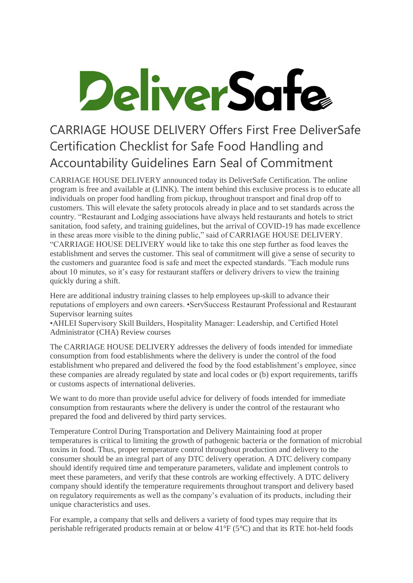## DeliverSafe

## CARRIAGE HOUSE DELIVERY Offers First Free DeliverSafe Certification Checklist for Safe Food Handling and Accountability Guidelines Earn Seal of Commitment

CARRIAGE HOUSE DELIVERY announced today its DeliverSafe Certification. The online program is free and available at (LINK). The intent behind this exclusive process is to educate all individuals on proper food handling from pickup, throughout transport and final drop off to customers. This will elevate the safety protocols already in place and to set standards across the country. "Restaurant and Lodging associations have always held restaurants and hotels to strict sanitation, food safety, and training guidelines, but the arrival of COVID-19 has made excellence in these areas more visible to the dining public," said of CARRIAGE HOUSE DELIVERY. "CARRIAGE HOUSE DELIVERY would like to take this one step further as food leaves the establishment and serves the customer. This seal of commitment will give a sense of security to the customers and guarantee food is safe and meet the expected standards. "Each module runs about 10 minutes, so it's easy for restaurant staffers or delivery drivers to view the training quickly during a shift.

Here are additional industry training classes to help employees up-skill to advance their reputations of employers and own careers. •ServSuccess Restaurant Professional and Restaurant Supervisor learning suites

•AHLEI Supervisory Skill Builders, Hospitality Manager: Leadership, and Certified Hotel Administrator (CHA) Review courses

The CARRIAGE HOUSE DELIVERY addresses the delivery of foods intended for immediate consumption from food establishments where the delivery is under the control of the food establishment who prepared and delivered the food by the food establishment's employee, since these companies are already regulated by state and local codes or (b) export requirements, tariffs or customs aspects of international deliveries.

We want to do more than provide useful advice for delivery of foods intended for immediate consumption from restaurants where the delivery is under the control of the restaurant who prepared the food and delivered by third party services.

Temperature Control During Transportation and Delivery Maintaining food at proper temperatures is critical to limiting the growth of pathogenic bacteria or the formation of microbial toxins in food. Thus, proper temperature control throughout production and delivery to the consumer should be an integral part of any DTC delivery operation. A DTC delivery company should identify required time and temperature parameters, validate and implement controls to meet these parameters, and verify that these controls are working effectively. A DTC delivery company should identify the temperature requirements throughout transport and delivery based on regulatory requirements as well as the company's evaluation of its products, including their unique characteristics and uses.

For example, a company that sells and delivers a variety of food types may require that its perishable refrigerated products remain at or below 41°F (5°C) and that its RTE hot-held foods